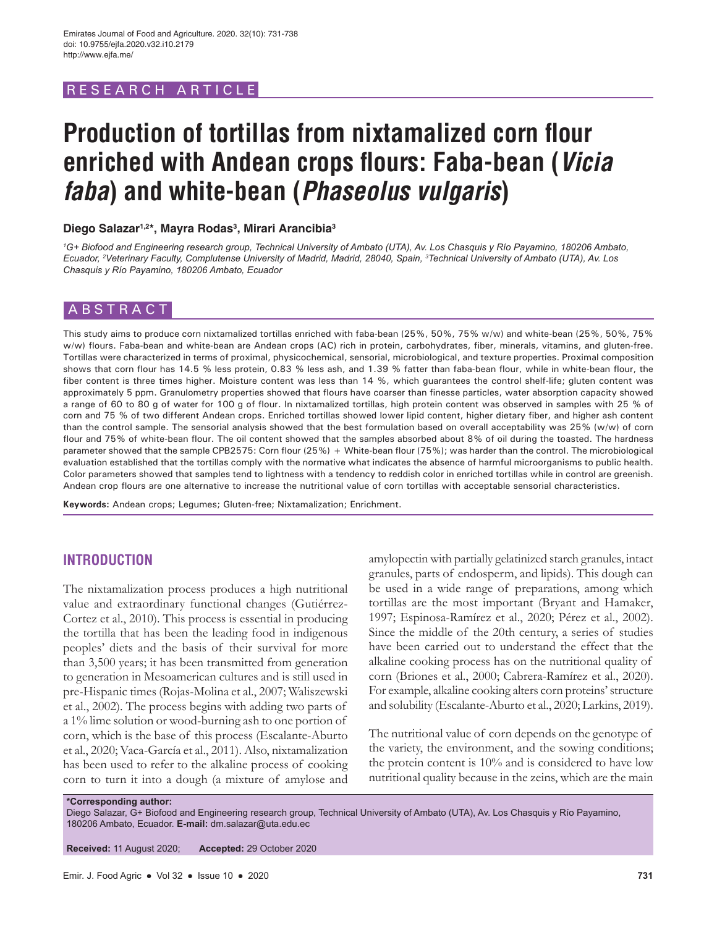# RESEARCH ARTICLE

# **Production of tortillas from nixtamalized corn flour enriched with Andean crops flours: Faba-bean (***Vicia faba***) and white-bean (***Phaseolus vulgaris***)**

# **Diego Salazar1,2\*, Mayra Rodas3 , Mirari Arancibia3**

<sup>1</sup>G+ Biofood and Engineering research group, Technical University of Ambato (UTA), Av. Los Chasquis y Río Payamino, 180206 Ambato, *Ecuador, 2 Veterinary Faculty, Complutense University of Madrid, Madrid, 28040, Spain, 3 Technical University of Ambato (UTA), Av. Los Chasquis y Río Payamino, 180206 Ambato, Ecuador*

## ABSTRACT

This study aims to produce corn nixtamalized tortillas enriched with faba-bean (25%, 50%, 75% w/w) and white-bean (25%, 50%, 75% w/w) flours. Faba-bean and white-bean are Andean crops (AC) rich in protein, carbohydrates, fiber, minerals, vitamins, and gluten-free. Tortillas were characterized in terms of proximal, physicochemical, sensorial, microbiological, and texture properties. Proximal composition shows that corn flour has 14.5 % less protein, 0.83 % less ash, and 1.39 % fatter than faba-bean flour, while in white-bean flour, the fiber content is three times higher. Moisture content was less than 14 %, which guarantees the control shelf-life; gluten content was approximately 5 ppm. Granulometry properties showed that flours have coarser than finesse particles, water absorption capacity showed a range of 60 to 80 g of water for 100 g of flour. In nixtamalized tortillas, high protein content was observed in samples with 25 % of corn and 75 % of two different Andean crops. Enriched tortillas showed lower lipid content, higher dietary fiber, and higher ash content than the control sample. The sensorial analysis showed that the best formulation based on overall acceptability was 25% (w/w) of corn flour and 75% of white-bean flour. The oil content showed that the samples absorbed about 8% of oil during the toasted. The hardness parameter showed that the sample CPB2575: Corn flour (25%) + White-bean flour (75%); was harder than the control. The microbiological evaluation established that the tortillas comply with the normative what indicates the absence of harmful microorganisms to public health. Color parameters showed that samples tend to lightness with a tendency to reddish color in enriched tortillas while in control are greenish. Andean crop flours are one alternative to increase the nutritional value of corn tortillas with acceptable sensorial characteristics.

**Keywords:** Andean crops; Legumes; Gluten-free; Nixtamalization; Enrichment.

# **INTRODUCTION**

The nixtamalization process produces a high nutritional value and extraordinary functional changes (Gutiérrez-Cortez et al., 2010). This process is essential in producing the tortilla that has been the leading food in indigenous peoples' diets and the basis of their survival for more than 3,500 years; it has been transmitted from generation to generation in Mesoamerican cultures and is still used in pre-Hispanic times (Rojas-Molina et al., 2007; Waliszewski et al., 2002). The process begins with adding two parts of a 1% lime solution or wood-burning ash to one portion of corn, which is the base of this process (Escalante-Aburto et al., 2020; Vaca-García et al., 2011). Also, nixtamalization has been used to refer to the alkaline process of cooking corn to turn it into a dough (a mixture of amylose and amylopectin with partially gelatinized starch granules, intact granules, parts of endosperm, and lipids). This dough can be used in a wide range of preparations, among which tortillas are the most important (Bryant and Hamaker, 1997; Espinosa-Ramírez et al., 2020; Pérez et al., 2002). Since the middle of the 20th century, a series of studies have been carried out to understand the effect that the alkaline cooking process has on the nutritional quality of corn (Briones et al., 2000; Cabrera-Ramírez et al., 2020). For example, alkaline cooking alters corn proteins' structure and solubility (Escalante-Aburto et al., 2020; Larkins, 2019).

The nutritional value of corn depends on the genotype of the variety, the environment, and the sowing conditions; the protein content is 10% and is considered to have low nutritional quality because in the zeins, which are the main

**\*Corresponding author:**

Diego Salazar, G+ Biofood and Engineering research group, Technical University of Ambato (UTA), Av. Los Chasquis y Río Payamino, 180206 Ambato, Ecuador. **E-mail:** dm.salazar@uta.edu.ec

**Received:** 11 August 2020; **Accepted:** 29 October 2020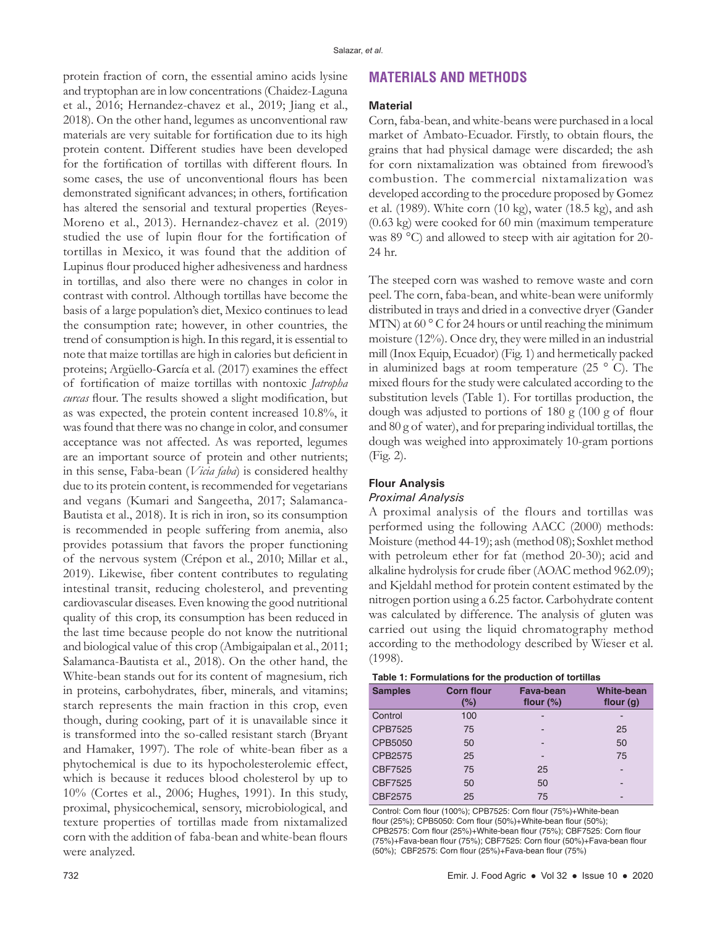protein fraction of corn, the essential amino acids lysine and tryptophan are in low concentrations (Chaidez-Laguna et al., 2016; Hernandez-chavez et al., 2019; Jiang et al., 2018). On the other hand, legumes as unconventional raw materials are very suitable for fortification due to its high protein content. Different studies have been developed for the fortification of tortillas with different flours. In some cases, the use of unconventional flours has been demonstrated significant advances; in others, fortification has altered the sensorial and textural properties (Reyes-Moreno et al., 2013). Hernandez-chavez et al. (2019) studied the use of lupin flour for the fortification of tortillas in Mexico, it was found that the addition of Lupinus flour produced higher adhesiveness and hardness in tortillas, and also there were no changes in color in contrast with control. Although tortillas have become the basis of a large population's diet, Mexico continues to lead the consumption rate; however, in other countries, the trend of consumption is high. In this regard, it is essential to note that maize tortillas are high in calories but deficient in proteins; Argüello-García et al. (2017) examines the effect of fortification of maize tortillas with nontoxic *Jatropha curcas* flour. The results showed a slight modification, but as was expected, the protein content increased 10.8%, it was found that there was no change in color, and consumer acceptance was not affected. As was reported, legumes are an important source of protein and other nutrients; in this sense, Faba-bean (*Vicia faba*) is considered healthy due to its protein content, is recommended for vegetarians and vegans (Kumari and Sangeetha, 2017; Salamanca-Bautista et al., 2018). It is rich in iron, so its consumption is recommended in people suffering from anemia, also provides potassium that favors the proper functioning of the nervous system (Crépon et al., 2010; Millar et al., 2019). Likewise, fiber content contributes to regulating intestinal transit, reducing cholesterol, and preventing cardiovascular diseases. Even knowing the good nutritional quality of this crop, its consumption has been reduced in the last time because people do not know the nutritional and biological value of this crop (Ambigaipalan et al., 2011; Salamanca-Bautista et al., 2018). On the other hand, the White-bean stands out for its content of magnesium, rich in proteins, carbohydrates, fiber, minerals, and vitamins; starch represents the main fraction in this crop, even though, during cooking, part of it is unavailable since it is transformed into the so-called resistant starch (Bryant and Hamaker, 1997). The role of white-bean fiber as a phytochemical is due to its hypocholesterolemic effect, which is because it reduces blood cholesterol by up to 10% (Cortes et al., 2006; Hughes, 1991). In this study, proximal, physicochemical, sensory, microbiological, and texture properties of tortillas made from nixtamalized corn with the addition of faba-bean and white-bean flours were analyzed.

# **MATERIALS AND METHODS**

#### **Material**

Corn, faba-bean, and white-beans were purchased in a local market of Ambato-Ecuador. Firstly, to obtain flours, the grains that had physical damage were discarded; the ash for corn nixtamalization was obtained from firewood's combustion. The commercial nixtamalization was developed according to the procedure proposed by Gomez et al. (1989). White corn (10 kg), water (18.5 kg), and ash (0.63 kg) were cooked for 60 min (maximum temperature was 89 °C) and allowed to steep with air agitation for 20-24 hr.

The steeped corn was washed to remove waste and corn peel. The corn, faba-bean, and white-bean were uniformly distributed in trays and dried in a convective dryer (Gander MTN) at  $60^{\circ}$  C for 24 hours or until reaching the minimum moisture (12%). Once dry, they were milled in an industrial mill (Inox Equip, Ecuador) (Fig. 1) and hermetically packed in aluminized bags at room temperature (25 ° C). The mixed flours for the study were calculated according to the substitution levels (Table 1). For tortillas production, the dough was adjusted to portions of 180 g (100 g of flour and 80 g of water), and for preparing individual tortillas, the dough was weighed into approximately 10-gram portions (Fig. 2).

# **Flour Analysis**

#### *Proximal Analysis*

A proximal analysis of the flours and tortillas was performed using the following AACC (2000) methods: Moisture (method 44-19); ash (method 08); Soxhlet method with petroleum ether for fat (method 20-30); acid and alkaline hydrolysis for crude fiber (AOAC method 962.09); and Kjeldahl method for protein content estimated by the nitrogen portion using a 6.25 factor. Carbohydrate content was calculated by difference. The analysis of gluten was carried out using the liquid chromatography method according to the methodology described by Wieser et al. (1998).

|  | Table 1: Formulations for the production of tortillas |  |  |  |
|--|-------------------------------------------------------|--|--|--|
|--|-------------------------------------------------------|--|--|--|

| <b>Samples</b> | <b>Corn flour</b><br>(%) | Fava-bean<br>flour $(\%)$ | White-bean<br>flour $(g)$ |
|----------------|--------------------------|---------------------------|---------------------------|
| Control        | 100                      | -                         | $\overline{\phantom{a}}$  |
| CPB7525        | 75                       | ۰                         | 25                        |
| CPB5050        | 50                       | -                         | 50                        |
| CPB2575        | 25                       | -                         | 75                        |
| CBF7525        | 75                       | 25                        | -                         |
| CBF7525        | 50                       | 50                        | -                         |
| CBF2575        | 25                       | 75                        | -                         |

Control: Corn flour (100%); CPB7525: Corn flour (75%)+White-bean flour (25%); CPB5050: Corn flour (50%)+White-bean flour (50%); CPB2575: Corn flour (25%)+White-bean flour (75%); CBF7525: Corn flour (75%)+Fava-bean flour (75%); CBF7525: Corn flour (50%)+Fava-bean flour (50%); CBF2575: Corn flour (25%)+Fava-bean flour (75%)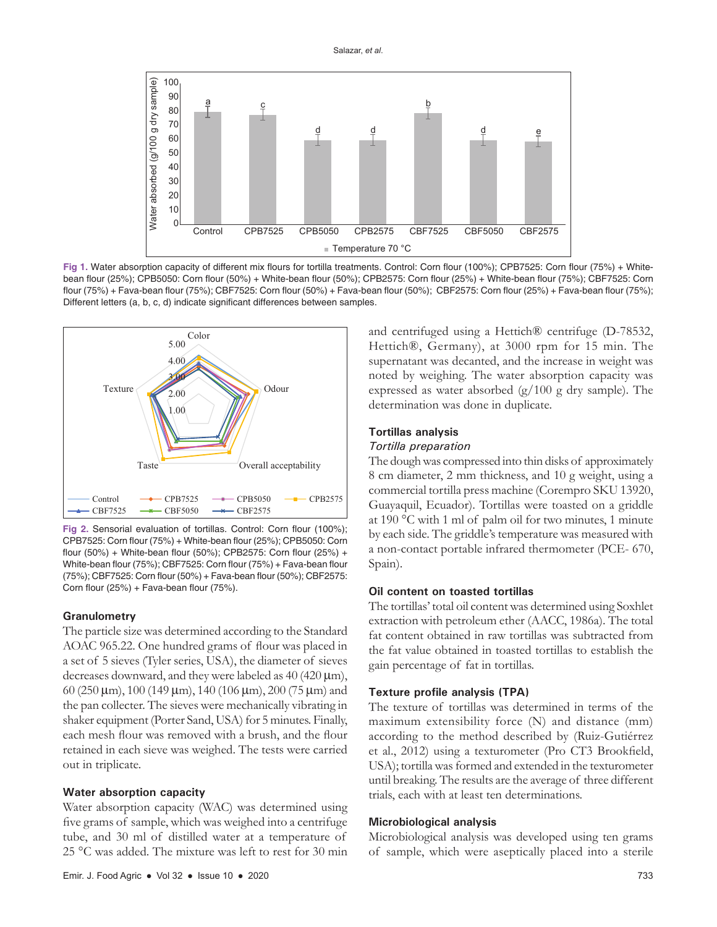

Fig 1. Water absorption capacity of different mix flours for tortilla treatments. Control: Corn flour (100%); CPB7525: Corn flour (75%) + Whitebean flour (25%); CPB5050: Corn flour (50%) + White-bean flour (50%); CPB2575: Corn flour (25%) + White-bean flour (75%); CBF7525: Corn flour (75%) + Fava-bean flour (75%); CBF7525: Corn flour (50%) + Fava-bean flour (50%); CBF2575: Corn flour (25%) + Fava-bean flour (75%); Different letters (a, b, c, d) indicate significant differences between samples.



**Fig 2.** Sensorial evaluation of tortillas. Control: Corn flour (100%); CPB7525: Corn flour (75%) + White-bean flour (25%); CPB5050: Corn flour (50%) + White-bean flour (50%); CPB2575: Corn flour (25%) + White-bean flour (75%); CBF7525: Corn flour (75%) + Fava-bean flour (75%); CBF7525: Corn flour (50%) + Fava-bean flour (50%); CBF2575: Corn flour (25%) + Fava-bean flour (75%).

## **Granulometry**

The particle size was determined according to the Standard AOAC 965.22. One hundred grams of flour was placed in a set of 5 sieves (Tyler series, USA), the diameter of sieves decreases downward, and they were labeled as 40 (420 μm), 60 (250 μm), 100 (149 μm), 140 (106 μm), 200 (75 μm) and the pan collecter. The sieves were mechanically vibrating in shaker equipment (Porter Sand, USA) for 5 minutes. Finally, each mesh flour was removed with a brush, and the flour retained in each sieve was weighed. The tests were carried out in triplicate.

#### **Water absorption capacity**

Water absorption capacity (WAC) was determined using five grams of sample, which was weighed into a centrifuge tube, and 30 ml of distilled water at a temperature of 25 °C was added. The mixture was left to rest for 30 min and centrifuged using a Hettich® centrifuge (D-78532, Hettich®, Germany), at 3000 rpm for 15 min. The supernatant was decanted, and the increase in weight was noted by weighing. The water absorption capacity was expressed as water absorbed (g/100 g dry sample). The determination was done in duplicate.

## **Tortillas analysis**

#### *Tortilla preparation*

The dough was compressed into thin disks of approximately 8 cm diameter, 2 mm thickness, and 10 g weight, using a commercial tortilla press machine (Corempro SKU 13920, Guayaquil, Ecuador). Tortillas were toasted on a griddle at 190 °C with 1 ml of palm oil for two minutes, 1 minute by each side. The griddle's temperature was measured with a non-contact portable infrared thermometer (PCE- 670, Spain).

## **Oil content on toasted tortillas**

The tortillas' total oil content was determined using Soxhlet extraction with petroleum ether (AACC, 1986a). The total fat content obtained in raw tortillas was subtracted from the fat value obtained in toasted tortillas to establish the gain percentage of fat in tortillas.

#### **Texture profile analysis (TPA)**

The texture of tortillas was determined in terms of the maximum extensibility force (N) and distance (mm) according to the method described by (Ruiz-Gutiérrez et al., 2012) using a texturometer (Pro CT3 Brookfield, USA); tortilla was formed and extended in the texturometer until breaking. The results are the average of three different trials, each with at least ten determinations.

#### **Microbiological analysis**

Microbiological analysis was developed using ten grams of sample, which were aseptically placed into a sterile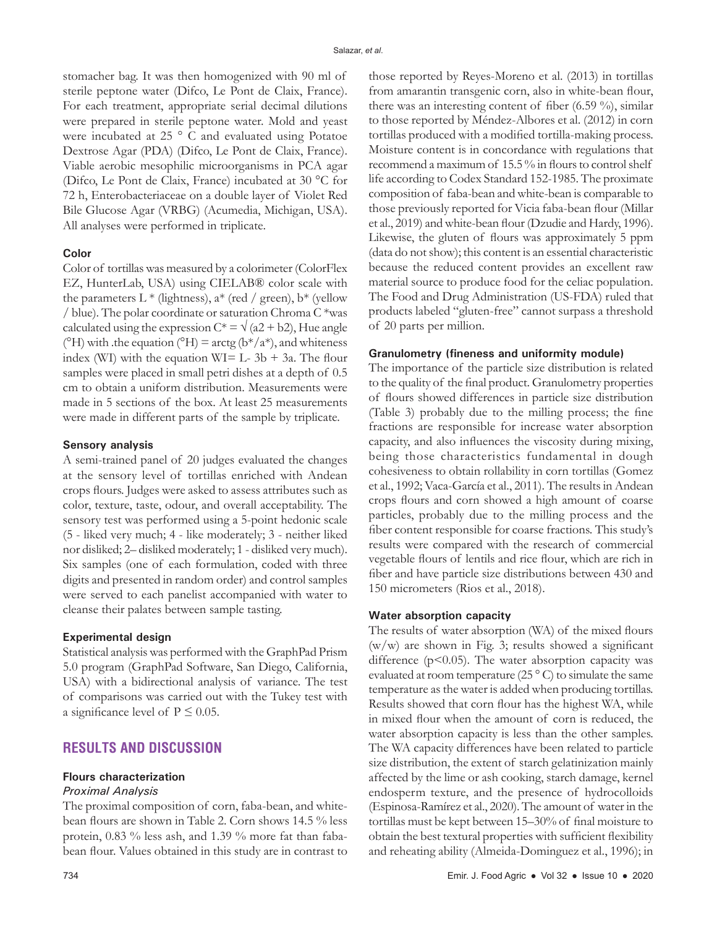stomacher bag. It was then homogenized with 90 ml of sterile peptone water (Difco, Le Pont de Claix, France). For each treatment, appropriate serial decimal dilutions were prepared in sterile peptone water. Mold and yeast were incubated at 25 ° C and evaluated using Potatoe Dextrose Agar (PDA) (Difco, Le Pont de Claix, France). Viable aerobic mesophilic microorganisms in PCA agar (Difco, Le Pont de Claix, France) incubated at 30 °C for 72 h, Enterobacteriaceae on a double layer of Violet Red Bile Glucose Agar (VRBG) (Acumedia, Michigan, USA). All analyses were performed in triplicate.

## **Color**

Color of tortillas was measured by a colorimeter (ColorFlex EZ, HunterLab, USA) using CIELAB® color scale with the parameters L  $*$  (lightness), a<sup>\*</sup> (red / green), b<sup>\*</sup> (yellow / blue). The polar coordinate or saturation Chroma C \*was calculated using the expression  $C^* = \sqrt{(a2 + b2)}$ , Hue angle ( $^{\circ}$ H) with .the equation ( $^{\circ}$ H) = arctg ( $b$ \*/a<sup>\*</sup>), and whiteness index (WI) with the equation WI= L-  $3b + 3a$ . The flour samples were placed in small petri dishes at a depth of 0.5 cm to obtain a uniform distribution. Measurements were made in 5 sections of the box. At least 25 measurements were made in different parts of the sample by triplicate.

#### **Sensory analysis**

A semi-trained panel of 20 judges evaluated the changes at the sensory level of tortillas enriched with Andean crops flours. Judges were asked to assess attributes such as color, texture, taste, odour, and overall acceptability. The sensory test was performed using a 5-point hedonic scale (5 - liked very much; 4 - like moderately; 3 - neither liked nor disliked; 2– disliked moderately; 1 - disliked very much). Six samples (one of each formulation, coded with three digits and presented in random order) and control samples were served to each panelist accompanied with water to cleanse their palates between sample tasting.

## **Experimental design**

Statistical analysis was performed with the GraphPad Prism 5.0 program (GraphPad Software, San Diego, California, USA) with a bidirectional analysis of variance. The test of comparisons was carried out with the Tukey test with a significance level of  $P \leq 0.05$ .

# **RESULTS AND DISCUSSION**

## **Flours characterization**

## *Proximal Analysis*

The proximal composition of corn, faba-bean, and whitebean flours are shown in Table 2. Corn shows 14.5 % less protein, 0.83 % less ash, and 1.39 % more fat than fababean flour. Values obtained in this study are in contrast to those reported by Reyes-Moreno et al. (2013) in tortillas from amarantin transgenic corn, also in white-bean flour, there was an interesting content of fiber (6.59 %), similar to those reported by Méndez-Albores et al. (2012) in corn tortillas produced with a modified tortilla-making process. Moisture content is in concordance with regulations that recommend a maximum of 15.5 % in flours to control shelf life according to Codex Standard 152-1985. The proximate composition of faba-bean and white-bean is comparable to those previously reported for Vicia faba-bean flour (Millar et al., 2019) and white-bean flour (Dzudie and Hardy, 1996). Likewise, the gluten of flours was approximately 5 ppm (data do not show); this content is an essential characteristic because the reduced content provides an excellent raw material source to produce food for the celiac population. The Food and Drug Administration (US-FDA) ruled that products labeled "gluten-free" cannot surpass a threshold of 20 parts per million.

## **Granulometry (fineness and uniformity module)**

The importance of the particle size distribution is related to the quality of the final product. Granulometry properties of flours showed differences in particle size distribution (Table 3) probably due to the milling process; the fine fractions are responsible for increase water absorption capacity, and also influences the viscosity during mixing, being those characteristics fundamental in dough cohesiveness to obtain rollability in corn tortillas (Gomez et al., 1992; Vaca-García et al., 2011). The results in Andean crops flours and corn showed a high amount of coarse particles, probably due to the milling process and the fiber content responsible for coarse fractions. This study's results were compared with the research of commercial vegetable flours of lentils and rice flour, which are rich in fiber and have particle size distributions between 430 and 150 micrometers (Rios et al., 2018).

## **Water absorption capacity**

The results of water absorption (WA) of the mixed flours  $(w/w)$  are shown in Fig. 3; results showed a significant difference ( $p<0.05$ ). The water absorption capacity was evaluated at room temperature (25 $\degree$ C) to simulate the same temperature as the water is added when producing tortillas. Results showed that corn flour has the highest WA, while in mixed flour when the amount of corn is reduced, the water absorption capacity is less than the other samples. The WA capacity differences have been related to particle size distribution, the extent of starch gelatinization mainly affected by the lime or ash cooking, starch damage, kernel endosperm texture, and the presence of hydrocolloids (Espinosa-Ramírez et al., 2020). The amount of water in the tortillas must be kept between 15–30% of final moisture to obtain the best textural properties with sufficient flexibility and reheating ability (Almeida-Dominguez et al., 1996); in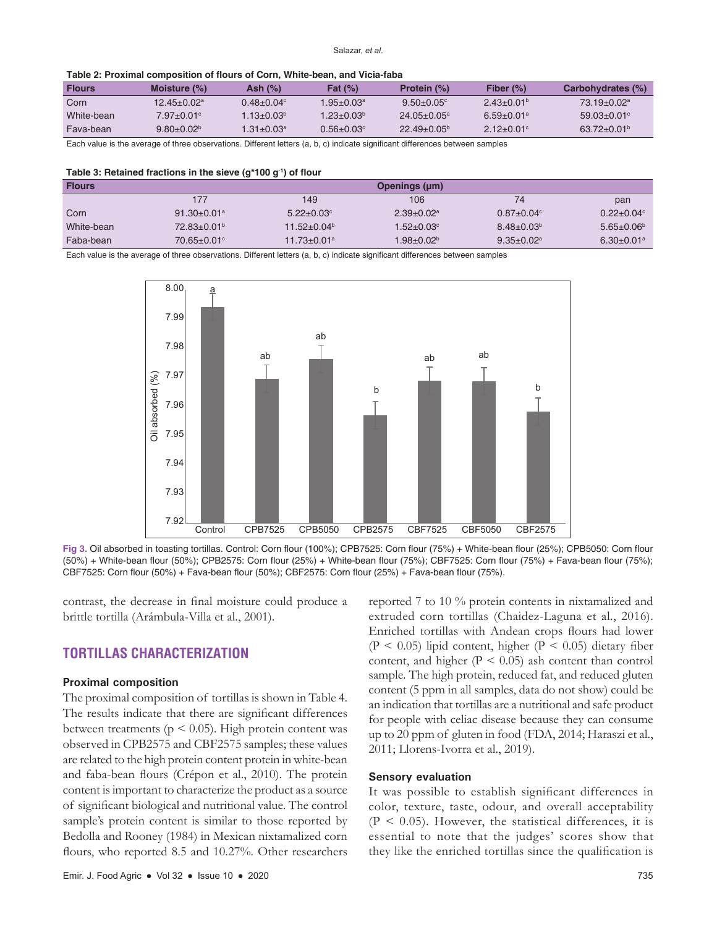| <b>Flours</b> | Moisture $(\%)$ | Ash (%)         | <b>Fat (%)</b>                 | Protein (%)      | Fiber $(\%)$               | Carbohydrates (%) |
|---------------|-----------------|-----------------|--------------------------------|------------------|----------------------------|-------------------|
| Corn          | 12.45±0.02ª     | $0.48 + 0.04$ ° | $1.95{\pm}0.03^{\mathrm{a}}$ . | $9.50 + 0.05$ °  | $2.43+0.01b$               | $73.19 + 0.02a$   |
| White-bean    | 7.97+0.01°      | $1.13 + 0.03^b$ | $1.23 + 0.03b$                 | $24.05 + 0.05^a$ | $6.59 + 0.01a$             | $59.03 + 0.01$ °  |
| Fava-bean     | $9.80 + 0.02b$  | 1.31+0.03ª      | $0.56 + 0.03$ °                | $22.49 + 0.05^b$ | $2.12 + 0.01$ <sup>c</sup> | $63.72 + 0.01b$   |

Each value is the average of three observations. Different letters (a, b, c) indicate significant differences between samples

| Table 3: Retained fractions in the sieve $(g^*100 g^{\text{-}1})$ of flour |  |  |  |  |  |  |  |
|----------------------------------------------------------------------------|--|--|--|--|--|--|--|
|----------------------------------------------------------------------------|--|--|--|--|--|--|--|

| <b>Flours</b> |                               |                               | Openings (µm)           |                   |                         |
|---------------|-------------------------------|-------------------------------|-------------------------|-------------------|-------------------------|
|               | 177                           | 149                           | 106                     | 74                | pan                     |
| Corn          | $91.30 \pm 0.01$ <sup>a</sup> | $5.22 + 0.03$ °               | $2.39 + 0.02^a$         | $0.87 \pm 0.04$ ° | $0.22 + 0.04$ °         |
| White-bean    | $72.83 \pm 0.01^{\circ}$      | $11.52 + 0.04b$               | $1.52 + 0.03$ °         | $8.48 \pm 0.03^b$ | $5.65 \pm 0.06^{\circ}$ |
| Faba-bean     | $70.65 \pm 0.01$ °            | $11.73 \pm 0.01$ <sup>a</sup> | $1.98 \pm 0.02^{\circ}$ | $9.35+0.02^a$     | $6.30+0.01a$            |

Each value is the average of three observations. Different letters (a, b, c) indicate significant differences between samples



**Fig 3.** Oil absorbed in toasting tortillas. Control: Corn flour (100%); CPB7525: Corn flour (75%) + White-bean flour (25%); CPB5050: Corn flour (50%) + White-bean flour (50%); CPB2575: Corn flour (25%) + White-bean flour (75%); CBF7525: Corn flour (75%) + Fava-bean flour (75%); CBF7525: Corn flour (50%) + Fava-bean flour (50%); CBF2575: Corn flour (25%) + Fava-bean flour (75%).

contrast, the decrease in final moisture could produce a brittle tortilla (Arámbula-Villa et al., 2001).

# **TORTILLAS CHARACTERIZATION**

#### **Proximal composition**

The proximal composition of tortillas is shown in Table 4. The results indicate that there are significant differences between treatments ( $p \le 0.05$ ). High protein content was observed in CPB2575 and CBF2575 samples; these values are related to the high protein content protein in white-bean and faba-bean flours (Crépon et al., 2010). The protein content is important to characterize the product as a source of significant biological and nutritional value. The control sample's protein content is similar to those reported by Bedolla and Rooney (1984) in Mexican nixtamalized corn flours, who reported 8.5 and 10.27%. Other researchers reported 7 to 10 % protein contents in nixtamalized and extruded corn tortillas (Chaidez-Laguna et al., 2016). Enriched tortillas with Andean crops flours had lower (P < 0.05) lipid content, higher (P < 0.05) dietary fiber content, and higher  $(P < 0.05)$  ash content than control sample. The high protein, reduced fat, and reduced gluten content (5 ppm in all samples, data do not show) could be an indication that tortillas are a nutritional and safe product for people with celiac disease because they can consume up to 20 ppm of gluten in food (FDA, 2014; Haraszi et al., 2011; Llorens-Ivorra et al., 2019).

#### **Sensory evaluation**

It was possible to establish significant differences in color, texture, taste, odour, and overall acceptability  $(P < 0.05)$ . However, the statistical differences, it is essential to note that the judges' scores show that they like the enriched tortillas since the qualification is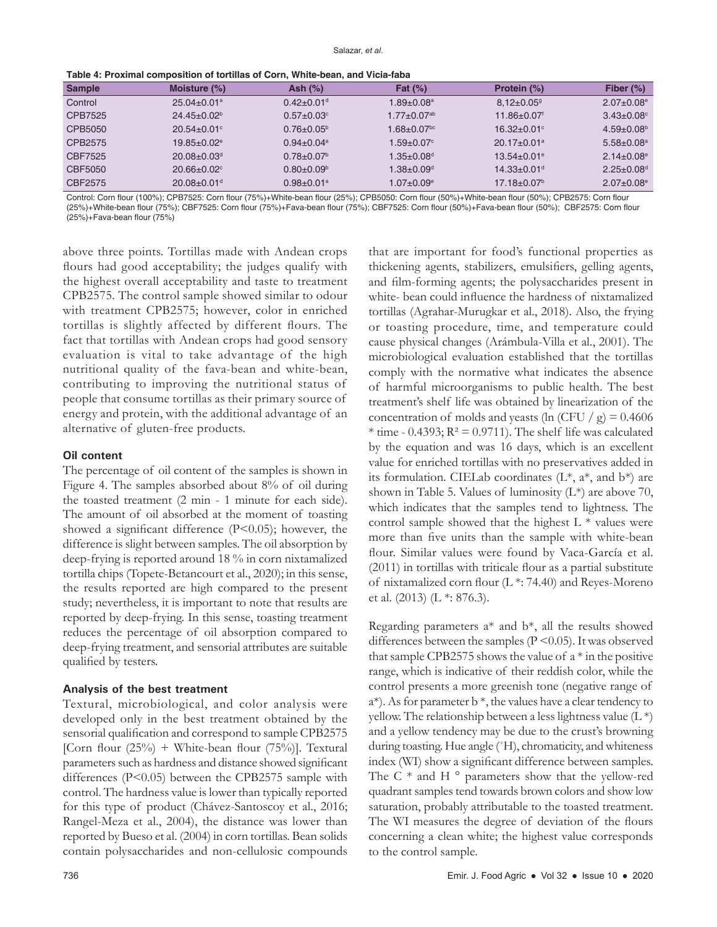| <b>Sample</b> | Moisture $(\%)$               | Ash $(\%)$                   | Fat $(\%)$                    | Protein (%)                   | Fiber $(\%)$                 |
|---------------|-------------------------------|------------------------------|-------------------------------|-------------------------------|------------------------------|
| Control       | $25.04 \pm 0.01$ <sup>a</sup> | $0.42 \pm 0.01$ <sup>d</sup> | $1.89 \pm 0.08$ a             | $8.12 \pm 0.05$ <sup>g</sup>  | $2.07 \pm 0.08$ <sup>e</sup> |
| CPB7525       | $24.45 \pm 0.02^b$            | $0.57+0.03^{\circ}$          | $1.77 \pm 0.07$ <sup>ab</sup> | $11.86 \pm 0.07$              | $3.43 \pm 0.08$ °            |
| CPB5050       | $20.54 \pm 0.01$ °            | $0.76 \pm 0.05^{\circ}$      | $1.68 \pm 0.07$ <sup>bc</sup> | $16.32 \pm 0.01$ °            | $4.59 \pm 0.08^{\circ}$      |
| CPB2575       | $19.85 \pm 0.02$ <sup>e</sup> | $0.94 \pm 0.04$ <sup>a</sup> | $1.59 \pm 0.07^{\circ}$       | $20.17 \pm 0.01$ <sup>a</sup> | $5.58 + 0.08$ <sup>a</sup>   |
| CBF7525       | $20.08 \pm 0.03$ <sup>d</sup> | $0.78 \pm 0.07$ <sup>b</sup> | $1.35 \pm 0.08^\text{d}$      | $13.54 \pm 0.01$ <sup>e</sup> | $2.14 \pm 0.08$ <sup>e</sup> |
| CBF5050       | $20.66 \pm 0.02$ <sup>c</sup> | $0.80 + 0.09^{\circ}$        | $1.38{\pm}0.09^{\rm d}$       | $14.33 \pm 0.01$ <sup>d</sup> | $2.25 \pm 0.08$ <sup>d</sup> |
| CBF2575       | $20.08 \pm 0.01$ <sup>d</sup> | $0.98 \pm 0.01$ <sup>a</sup> | $1.07 \pm 0.09$ °             | $17.18 \pm 0.07$ <sup>b</sup> | $2.07 \pm 0.08$ <sup>e</sup> |

Control: Corn flour (100%); CPB7525: Corn flour (75%)+White-bean flour (25%); CPB5050: Corn flour (50%)+White-bean flour (50%); CPB2575: Corn flour (25%)+White-bean flour (75%); CBF7525: Corn flour (75%)+Fava-bean flour (75%); CBF7525: Corn flour (50%)+Fava-bean flour (50%); CBF2575: Corn flour (25%)+Fava-bean flour (75%)

above three points. Tortillas made with Andean crops flours had good acceptability; the judges qualify with the highest overall acceptability and taste to treatment CPB2575. The control sample showed similar to odour with treatment CPB2575; however, color in enriched tortillas is slightly affected by different flours. The fact that tortillas with Andean crops had good sensory evaluation is vital to take advantage of the high nutritional quality of the fava-bean and white-bean, contributing to improving the nutritional status of people that consume tortillas as their primary source of energy and protein, with the additional advantage of an alternative of gluten-free products.

## **Oil content**

The percentage of oil content of the samples is shown in Figure 4. The samples absorbed about 8% of oil during the toasted treatment (2 min - 1 minute for each side). The amount of oil absorbed at the moment of toasting showed a significant difference (P<0.05); however, the difference is slight between samples. The oil absorption by deep-frying is reported around 18 % in corn nixtamalized tortilla chips (Topete-Betancourt et al., 2020); in this sense, the results reported are high compared to the present study; nevertheless, it is important to note that results are reported by deep-frying. In this sense, toasting treatment reduces the percentage of oil absorption compared to deep-frying treatment, and sensorial attributes are suitable qualified by testers.

## **Analysis of the best treatment**

Textural, microbiological, and color analysis were developed only in the best treatment obtained by the sensorial qualification and correspond to sample CPB2575 [Corn flour  $(25\%)$  + White-bean flour  $(75\%)$ ]. Textural parameters such as hardness and distance showed significant differences (P<0.05) between the CPB2575 sample with control. The hardness value is lower than typically reported for this type of product (Chávez-Santoscoy et al., 2016; Rangel-Meza et al., 2004), the distance was lower than reported by Bueso et al. (2004) in corn tortillas. Bean solids contain polysaccharides and non-cellulosic compounds

that are important for food's functional properties as thickening agents, stabilizers, emulsifiers, gelling agents, and film-forming agents; the polysaccharides present in white- bean could influence the hardness of nixtamalized tortillas (Agrahar-Murugkar et al., 2018). Also, the frying or toasting procedure, time, and temperature could cause physical changes (Arámbula-Villa et al., 2001). The microbiological evaluation established that the tortillas comply with the normative what indicates the absence of harmful microorganisms to public health. The best treatment's shelf life was obtained by linearization of the concentration of molds and yeasts (ln (CFU / g) =  $0.4606$  $*$  time - 0.4393;  $R^2 = 0.9711$ ). The shelf life was calculated by the equation and was 16 days, which is an excellent value for enriched tortillas with no preservatives added in its formulation. CIELab coordinates  $(L^*, a^*,$  and  $b^*)$  are shown in Table 5. Values of luminosity  $(L^*)$  are above 70, which indicates that the samples tend to lightness. The control sample showed that the highest  $L^*$  values were more than five units than the sample with white-bean flour. Similar values were found by Vaca-García et al. (2011) in tortillas with triticale flour as a partial substitute of nixtamalized corn flour (L \*: 74.40) and Reyes-Moreno et al. (2013) (L \*: 876.3).

Regarding parameters  $a^*$  and  $b^*$ , all the results showed differences between the samples (P < 0.05). It was observed that sample CPB2575 shows the value of  $a * in$  the positive range, which is indicative of their reddish color, while the control presents a more greenish tone (negative range of  $a^*$ ). As for parameter b  $*$ , the values have a clear tendency to yellow. The relationship between a less lightness value  $(L^*)$ and a yellow tendency may be due to the crust's browning during toasting. Hue angle (˚H), chromaticity, and whiteness index (WI) show a significant difference between samples. The C  $*$  and H  $\circ$  parameters show that the yellow-red quadrant samples tend towards brown colors and show low saturation, probably attributable to the toasted treatment. The WI measures the degree of deviation of the flours concerning a clean white; the highest value corresponds to the control sample.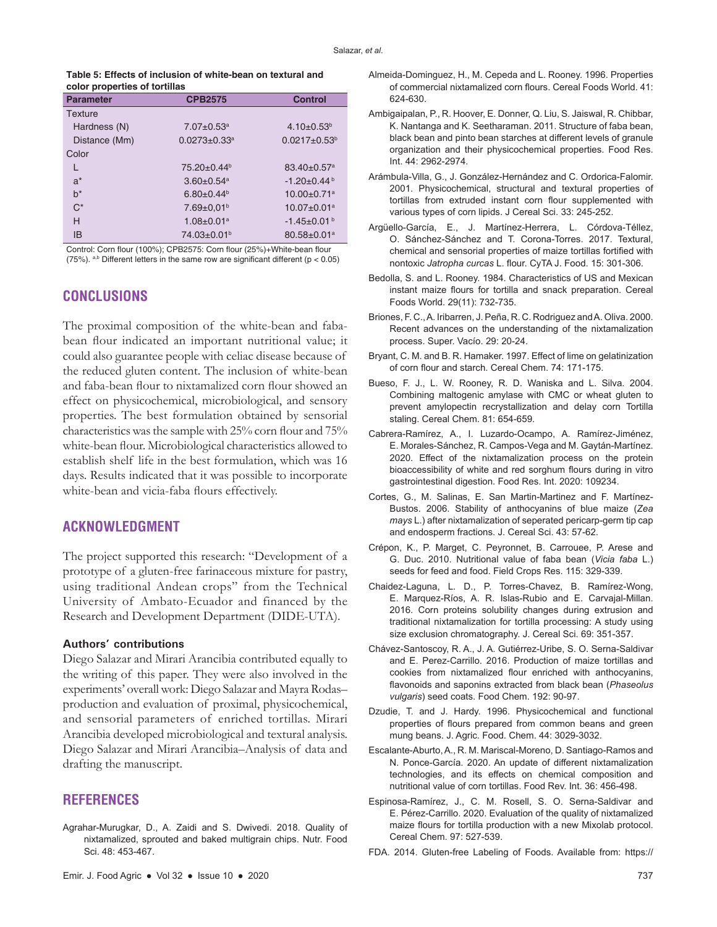|                               | Table 5: Effects of inclusion of white-bean on textural and |  |
|-------------------------------|-------------------------------------------------------------|--|
| color properties of tortillas |                                                             |  |

| <b>Parameter</b> | <b>CPB2575</b>                 | <b>Control</b>                |
|------------------|--------------------------------|-------------------------------|
| Texture          |                                |                               |
| Hardness (N)     | $7.07 + 0.53$ <sup>a</sup>     | $4.10+0.53^{b}$               |
| Distance (Mm)    | $0.0273 \pm 0.33$ <sup>a</sup> | $0.0217 + 0.53b$              |
| Color            |                                |                               |
| L                | $75.20 \pm 0.44$ <sup>b</sup>  | $83.40 \pm 0.57$ <sup>a</sup> |
| $a^*$            | $3.60 + 0.54$ <sup>a</sup>     | $-1.20+0.44b$                 |
| $h^*$            | $6.80+0.44b$                   | $10.00 \pm 0.71$ <sup>a</sup> |
| $C^*$            | $7.69 \pm 0.01$ <sup>b</sup>   | $10.07 \pm 0.01$ <sup>a</sup> |
| H                | $1.08 + 0.01$ <sup>a</sup>     | $-1.45 \pm 0.01$ <sup>b</sup> |
| IB               | $74.03 \pm 0.01$ <sup>b</sup>  | $80.58 \pm 0.01$ <sup>a</sup> |

Control: Corn flour (100%); CPB2575: Corn flour (25%)+White-bean flour (75%). a,b Different letters in the same row are significant different ( $p < 0.05$ )

# **CONCLUSIONS**

The proximal composition of the white-bean and fababean flour indicated an important nutritional value; it could also guarantee people with celiac disease because of the reduced gluten content. The inclusion of white-bean and faba-bean flour to nixtamalized corn flour showed an effect on physicochemical, microbiological, and sensory properties. The best formulation obtained by sensorial characteristics was the sample with 25% corn flour and 75% white-bean flour. Microbiological characteristics allowed to establish shelf life in the best formulation, which was 16 days. Results indicated that it was possible to incorporate white-bean and vicia-faba flours effectively.

# **ACKNOWLEDGMENT**

The project supported this research: "Development of a prototype of a gluten-free farinaceous mixture for pastry, using traditional Andean crops" from the Technical University of Ambato-Ecuador and financed by the Research and Development Department (DIDE-UTA).

## **Authors' contributions**

Diego Salazar and Mirari Arancibia contributed equally to the writing of this paper. They were also involved in the experiments' overall work: Diego Salazar and Mayra Rodas– production and evaluation of proximal, physicochemical, and sensorial parameters of enriched tortillas. Mirari Arancibia developed microbiological and textural analysis. Diego Salazar and Mirari Arancibia–Analysis of data and drafting the manuscript.

# **REFERENCES**

Agrahar-Murugkar, D., A. Zaidi and S. Dwivedi. 2018. Quality of nixtamalized, sprouted and baked multigrain chips. Nutr. Food Sci. 48: 453-467.

- Almeida-Dominguez, H., M. Cepeda and L. Rooney. 1996. Properties of commercial nixtamalized corn flours. Cereal Foods World. 41: 624-630.
- Ambigaipalan, P., R. Hoover, E. Donner, Q. Liu, S. Jaiswal, R. Chibbar, K. Nantanga and K. Seetharaman. 2011. Structure of faba bean, black bean and pinto bean starches at different levels of granule organization and their physicochemical properties. Food Res. Int. 44: 2962-2974.
- Arámbula-Villa, G., J. González-Hernández and C. Ordorica-Falomir. 2001. Physicochemical, structural and textural properties of tortillas from extruded instant corn flour supplemented with various types of corn lipids. J Cereal Sci. 33: 245-252.
- Argüello-García, E., J. Martínez-Herrera, L. Córdova-Téllez, O. Sánchez-Sánchez and T. Corona-Torres. 2017. Textural, chemical and sensorial properties of maize tortillas fortified with nontoxic *Jatropha curcas* L. flour. CyTA J. Food. 15: 301-306.
- Bedolla, S. and L. Rooney. 1984. Characteristics of US and Mexican instant maize flours for tortilla and snack preparation. Cereal Foods World. 29(11): 732-735.
- Briones, F. C., A. Iribarren, J. Peña, R. C. Rodriguez and A. Oliva. 2000. Recent advances on the understanding of the nixtamalization process. Super. Vacío. 29: 20-24.
- Bryant, C. M. and B. R. Hamaker. 1997. Effect of lime on gelatinization of corn flour and starch. Cereal Chem. 74: 171-175.
- Bueso, F. J., L. W. Rooney, R. D. Waniska and L. Silva. 2004. Combining maltogenic amylase with CMC or wheat gluten to prevent amylopectin recrystallization and delay corn Tortilla staling. Cereal Chem. 81: 654-659.
- Cabrera-Ramírez, A., I. Luzardo-Ocampo, A. Ramírez-Jiménez, E. Morales-Sánchez, R. Campos-Vega and M. Gaytán-Martínez. 2020. Effect of the nixtamalization process on the protein bioaccessibility of white and red sorghum flours during in vitro gastrointestinal digestion. Food Res. Int. 2020: 109234.
- Cortes, G., M. Salinas, E. San Martin-Martinez and F. Martínez-Bustos. 2006. Stability of anthocyanins of blue maize (*Zea mays* L.) after nixtamalization of seperated pericarp-germ tip cap and endosperm fractions. J. Cereal Sci. 43: 57-62.
- Crépon, K., P. Marget, C. Peyronnet, B. Carrouee, P. Arese and G. Duc. 2010. Nutritional value of faba bean (*Vicia faba* L.) seeds for feed and food. Field Crops Res. 115: 329-339.
- Chaidez-Laguna, L. D., P. Torres-Chavez, B. Ramírez-Wong, E. Marquez-Ríos, A. R. Islas-Rubio and E. Carvajal-Millan. 2016. Corn proteins solubility changes during extrusion and traditional nixtamalization for tortilla processing: A study using size exclusion chromatography. J. Cereal Sci. 69: 351-357.
- Chávez-Santoscoy, R. A., J. A. Gutiérrez-Uribe, S. O. Serna-Saldivar and E. Perez-Carrillo. 2016. Production of maize tortillas and cookies from nixtamalized flour enriched with anthocyanins, flavonoids and saponins extracted from black bean (*Phaseolus vulgaris*) seed coats. Food Chem. 192: 90-97.
- Dzudie, T. and J. Hardy. 1996. Physicochemical and functional properties of flours prepared from common beans and green mung beans. J. Agric. Food. Chem. 44: 3029-3032.
- Escalante-Aburto, A., R. M. Mariscal-Moreno, D. Santiago-Ramos and N. Ponce-García. 2020. An update of different nixtamalization technologies, and its effects on chemical composition and nutritional value of corn tortillas. Food Rev. Int. 36: 456-498.
- Espinosa-Ramírez, J., C. M. Rosell, S. O. Serna-Saldivar and E. Pérez-Carrillo. 2020. Evaluation of the quality of nixtamalized maize flours for tortilla production with a new Mixolab protocol. Cereal Chem. 97: 527-539.
- FDA. 2014. Gluten-free Labeling of Foods. Available from: https://